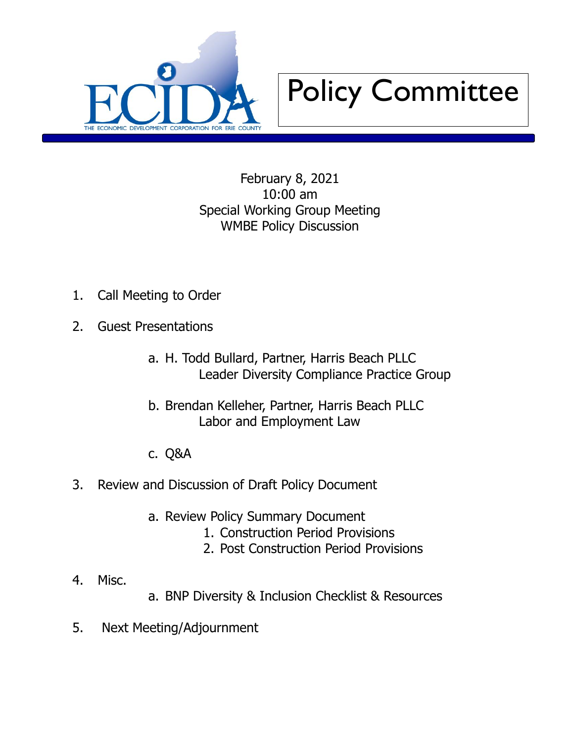



February 8, 2021 10:00 am Special Working Group Meeting WMBE Policy Discussion

- 1. Call Meeting to Order
- 2. Guest Presentations
	- a. H. Todd Bullard, Partner, Harris Beach PLLC Leader Diversity Compliance Practice Group
	- b. Brendan Kelleher, Partner, Harris Beach PLLC Labor and Employment Law
	- c. Q&A
- 3. Review and Discussion of Draft Policy Document
	- a. Review Policy Summary Document
		- 1. Construction Period Provisions
		- 2. Post Construction Period Provisions

- 4. Misc.
- a. BNP Diversity & Inclusion Checklist & Resources
- 5. Next Meeting/Adjournment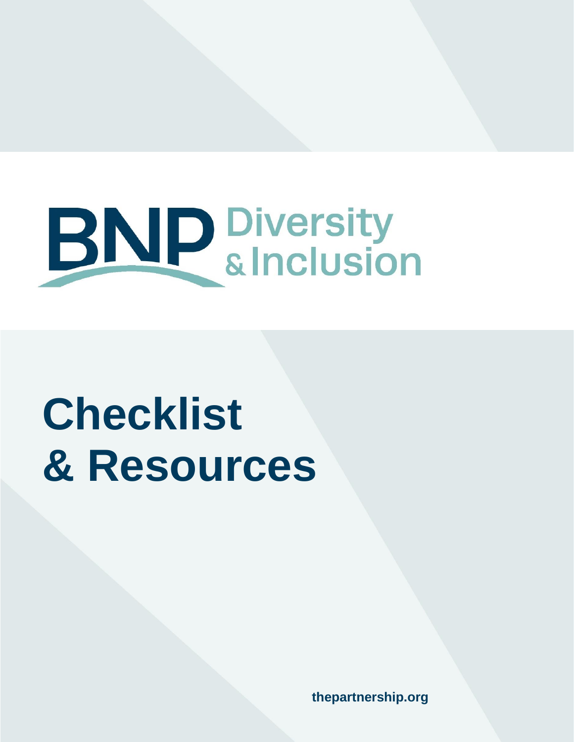

# **Checklist & Resources**

**thepartnership.org**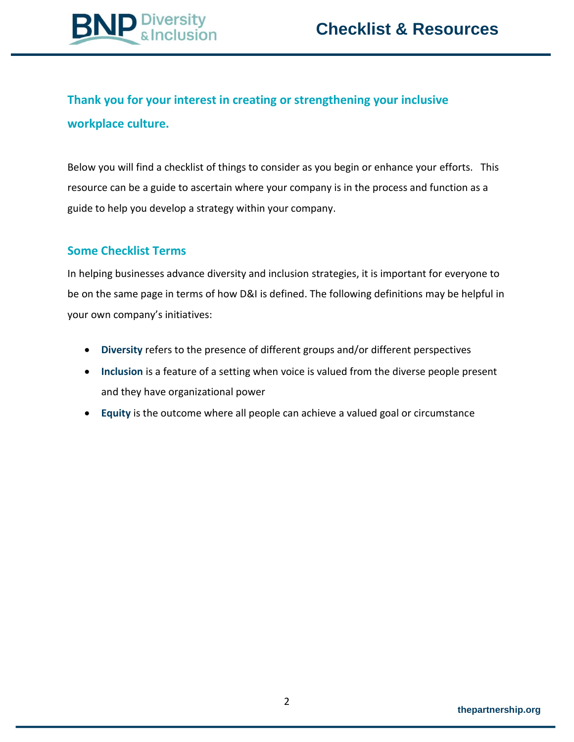

# **Thank you for your interest in creating or strengthening your inclusive workplace culture.**

Below you will find a checklist of things to consider as you begin or enhance your efforts. This resource can be a guide to ascertain where your company is in the process and function as a guide to help you develop a strategy within your company.

## **Some Checklist Terms**

In helping businesses advance diversity and inclusion strategies, it is important for everyone to be on the same page in terms of how D&I is defined. The following definitions may be helpful in your own company's initiatives:

- **Diversity** refers to the presence of different groups and/or different perspectives
- Inclusion is a feature of a setting when voice is valued from the diverse people present and they have organizational power
- **Equity** is the outcome where all people can achieve a valued goal or circumstance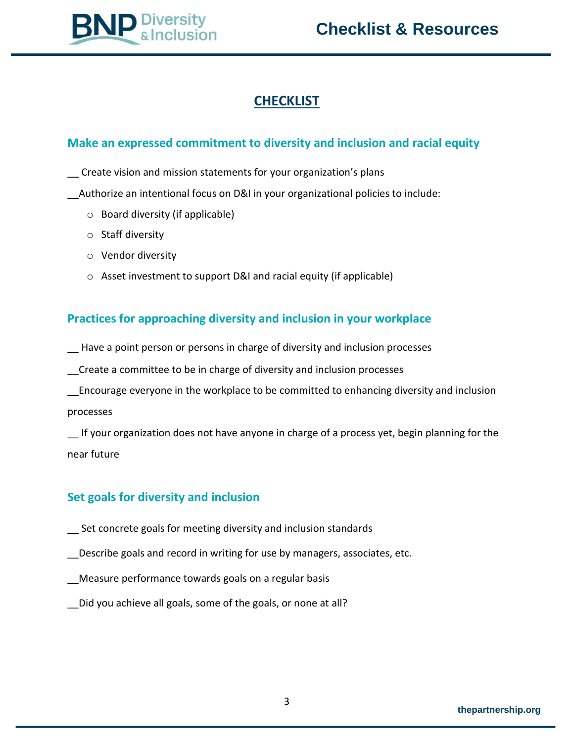

# **CHECKLIST**

## **Make an expressed commitment to diversity and inclusion and racial equity**

\_\_ Create vision and mission statements for your organization's plans

\_\_Authorize an intentional focus on D&I in your organizational policies to include:

- o Board diversity (if applicable)
- o Staff diversity
- o Vendor diversity
- o Asset investment to support D&I and racial equity (if applicable)

# **Practices for approaching diversity and inclusion in your workplace**

\_\_ Have a point person or persons in charge of diversity and inclusion processes

\_\_Create a committee to be in charge of diversity and inclusion processes

\_\_Encourage everyone in the workplace to be committed to enhancing diversity and inclusion processes

If your organization does not have anyone in charge of a process yet, begin planning for the near future

# **Set goals for diversity and inclusion**

- Set concrete goals for meeting diversity and inclusion standards
- Describe goals and record in writing for use by managers, associates, etc.
- \_\_Measure performance towards goals on a regular basis
- Did you achieve all goals, some of the goals, or none at all?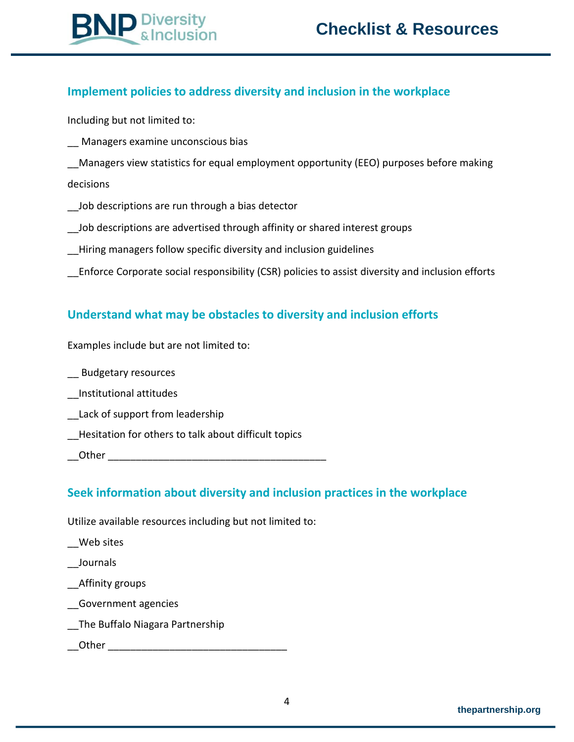

## **Implement policies to address diversity and inclusion in the workplace**

Including but not limited to:

\_\_ Managers examine unconscious bias

**D** Diversity<br>
& Inclusion

- Managers view statistics for equal employment opportunity (EEO) purposes before making decisions
- Job descriptions are run through a bias detector
- Job descriptions are advertised through affinity or shared interest groups
- \_\_Hiring managers follow specific diversity and inclusion guidelines
- \_\_Enforce Corporate social responsibility (CSR) policies to assist diversity and inclusion efforts

## **Understand what may be obstacles to diversity and inclusion efforts**

Examples include but are not limited to:

\_\_ Budgetary resources

- \_\_Institutional attitudes
- Lack of support from leadership
- \_\_Hesitation for others to talk about difficult topics
- \_\_Other \_\_\_\_\_\_\_\_\_\_\_\_\_\_\_\_\_\_\_\_\_\_\_\_\_\_\_\_\_\_\_\_\_\_\_\_\_\_\_

#### **Seek information about diversity and inclusion practices in the workplace**

Utilize available resources including but not limited to:

\_\_Web sites

\_\_Journals

\_\_Affinity groups

- \_\_Government agencies
- \_\_The Buffalo Niagara Partnership
- Other  $\Box$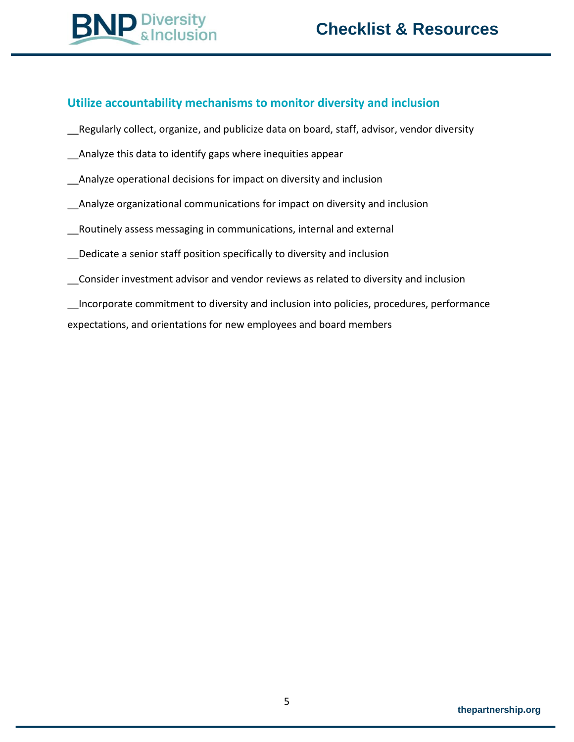## **Utilize accountability mechanisms to monitor diversity and inclusion**

- \_\_Regularly collect, organize, and publicize data on board, staff, advisor, vendor diversity
- Analyze this data to identify gaps where inequities appear
- Analyze operational decisions for impact on diversity and inclusion
- Analyze organizational communications for impact on diversity and inclusion
- \_\_Routinely assess messaging in communications, internal and external
- Dedicate a senior staff position specifically to diversity and inclusion
- \_\_Consider investment advisor and vendor reviews as related to diversity and inclusion

\_\_Incorporate commitment to diversity and inclusion into policies, procedures, performance expectations, and orientations for new employees and board members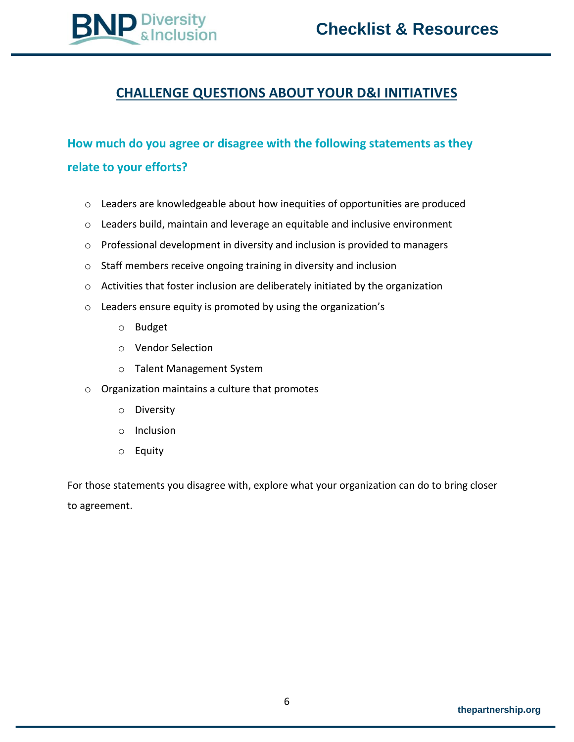

# **CHALLENGE QUESTIONS ABOUT YOUR D&I INITIATIVES**

# **How much do you agree or disagree with the following statements as they relate to your efforts?**

- o Leaders are knowledgeable about how inequities of opportunities are produced
- $\circ$  Leaders build, maintain and leverage an equitable and inclusive environment
- o Professional development in diversity and inclusion is provided to managers
- o Staff members receive ongoing training in diversity and inclusion
- o Activities that foster inclusion are deliberately initiated by the organization
- o Leaders ensure equity is promoted by using the organization's
	- o Budget
	- o Vendor Selection
	- o Talent Management System
- o Organization maintains a culture that promotes
	- o Diversity
	- o Inclusion
	- o Equity

For those statements you disagree with, explore what your organization can do to bring closer to agreement.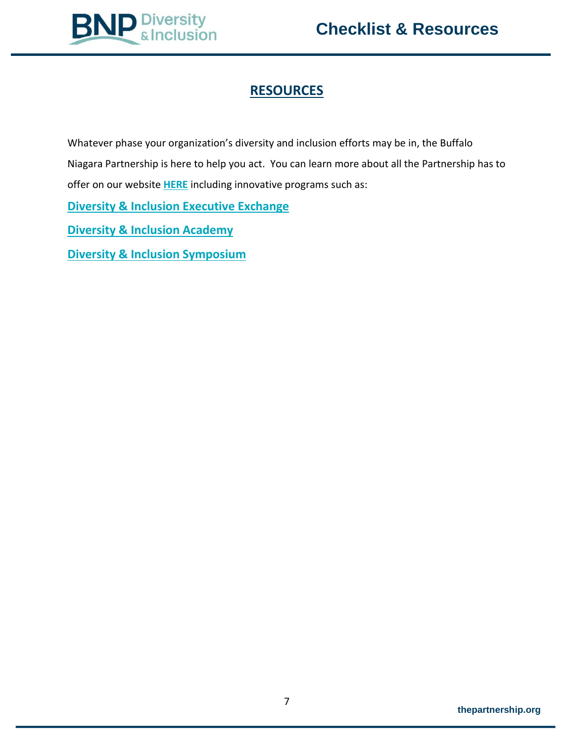

# **RESOURCES**

Whatever phase your organization's diversity and inclusion efforts may be in, the Buffalo Niagara Partnership is here to help you act. You can learn more about all the Partnership has to offer on our website **[HERE](https://www.thepartnership.org/talent-workforce/diversity-inclusion/)** including innovative programs such as:

**[Diversity & Inclusion Executive Exchange](https://www.thepartnership.org/talent-workforce/diversity-inclusion/diversity-inclusion-executive-exchange/)**

**[Diversity & Inclusion Academy](https://www.thepartnership.org/talent-workforce/diversity-inclusion/diversity-inclusion-academy/)**

**[Diversity & Inclusion Symposium](https://www.eventbrite.com/e/2020-diversity-inclusion-symposium-tickets-93528073987)**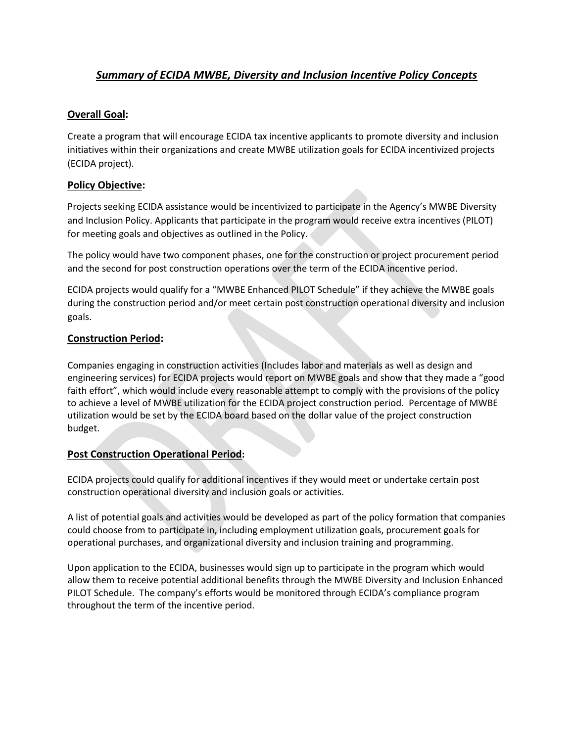## *Summary of ECIDA MWBE, Diversity and Inclusion Incentive Policy Concepts*

#### **Overall Goal:**

Create a program that will encourage ECIDA tax incentive applicants to promote diversity and inclusion initiatives within their organizations and create MWBE utilization goals for ECIDA incentivized projects (ECIDA project).

#### **Policy Objective:**

Projects seeking ECIDA assistance would be incentivized to participate in the Agency's MWBE Diversity and Inclusion Policy. Applicants that participate in the program would receive extra incentives (PILOT) for meeting goals and objectives as outlined in the Policy.

The policy would have two component phases, one for the construction or project procurement period and the second for post construction operations over the term of the ECIDA incentive period.

ECIDA projects would qualify for a "MWBE Enhanced PILOT Schedule" if they achieve the MWBE goals during the construction period and/or meet certain post construction operational diversity and inclusion goals.

#### **Construction Period:**

Companies engaging in construction activities (Includes labor and materials as well as design and engineering services) for ECIDA projects would report on MWBE goals and show that they made a "good faith effort", which would include every reasonable attempt to comply with the provisions of the policy to achieve a level of MWBE utilization for the ECIDA project construction period. Percentage of MWBE utilization would be set by the ECIDA board based on the dollar value of the project construction budget.

#### **Post Construction Operational Period:**

ECIDA projects could qualify for additional incentives if they would meet or undertake certain post construction operational diversity and inclusion goals or activities.

A list of potential goals and activities would be developed as part of the policy formation that companies could choose from to participate in, including employment utilization goals, procurement goals for operational purchases, and organizational diversity and inclusion training and programming.

Upon application to the ECIDA, businesses would sign up to participate in the program which would allow them to receive potential additional benefits through the MWBE Diversity and Inclusion Enhanced PILOT Schedule. The company's efforts would be monitored through ECIDA's compliance program throughout the term of the incentive period.